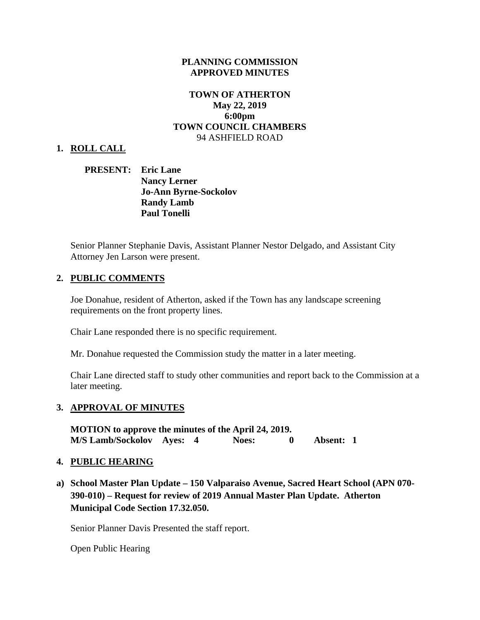## **PLANNING COMMISSION APPROVED MINUTES**

# **TOWN OF ATHERTON May 22, 2019 6:00pm TOWN COUNCIL CHAMBERS**  94 ASHFIELD ROAD

### **1. ROLL CALL**

## **PRESENT: Eric Lane Nancy Lerner Jo-Ann Byrne-Sockolov Randy Lamb Paul Tonelli**

Senior Planner Stephanie Davis, Assistant Planner Nestor Delgado, and Assistant City Attorney Jen Larson were present.

### **2. PUBLIC COMMENTS**

Joe Donahue, resident of Atherton, asked if the Town has any landscape screening requirements on the front property lines.

Chair Lane responded there is no specific requirement.

Mr. Donahue requested the Commission study the matter in a later meeting.

Chair Lane directed staff to study other communities and report back to the Commission at a later meeting.

#### **3. APPROVAL OF MINUTES**

**MOTION to approve the minutes of the April 24, 2019. M/S Lamb/Sockolov Ayes: 4 Noes: 0 Absent: 1** 

### **4. PUBLIC HEARING**

**a) School Master Plan Update – 150 Valparaiso Avenue, Sacred Heart School (APN 070- 390-010) – Request for review of 2019 Annual Master Plan Update. Atherton Municipal Code Section 17.32.050.** 

Senior Planner Davis Presented the staff report.

Open Public Hearing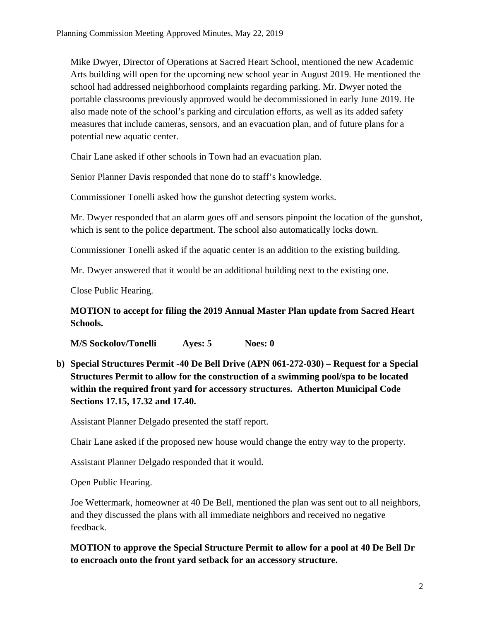Mike Dwyer, Director of Operations at Sacred Heart School, mentioned the new Academic Arts building will open for the upcoming new school year in August 2019. He mentioned the school had addressed neighborhood complaints regarding parking. Mr. Dwyer noted the portable classrooms previously approved would be decommissioned in early June 2019. He also made note of the school's parking and circulation efforts, as well as its added safety measures that include cameras, sensors, and an evacuation plan, and of future plans for a potential new aquatic center.

Chair Lane asked if other schools in Town had an evacuation plan.

Senior Planner Davis responded that none do to staff's knowledge.

Commissioner Tonelli asked how the gunshot detecting system works.

Mr. Dwyer responded that an alarm goes off and sensors pinpoint the location of the gunshot, which is sent to the police department. The school also automatically locks down.

Commissioner Tonelli asked if the aquatic center is an addition to the existing building.

Mr. Dwyer answered that it would be an additional building next to the existing one.

Close Public Hearing.

**MOTION to accept for filing the 2019 Annual Master Plan update from Sacred Heart Schools.** 

**M/S Sockolov/Tonelli Ayes: 5 Noes: 0** 

**b) Special Structures Permit -40 De Bell Drive (APN 061-272-030) – Request for a Special Structures Permit to allow for the construction of a swimming pool/spa to be located within the required front yard for accessory structures. Atherton Municipal Code Sections 17.15, 17.32 and 17.40.** 

Assistant Planner Delgado presented the staff report.

Chair Lane asked if the proposed new house would change the entry way to the property.

Assistant Planner Delgado responded that it would.

Open Public Hearing.

Joe Wettermark, homeowner at 40 De Bell, mentioned the plan was sent out to all neighbors, and they discussed the plans with all immediate neighbors and received no negative feedback.

**MOTION to approve the Special Structure Permit to allow for a pool at 40 De Bell Dr to encroach onto the front yard setback for an accessory structure.**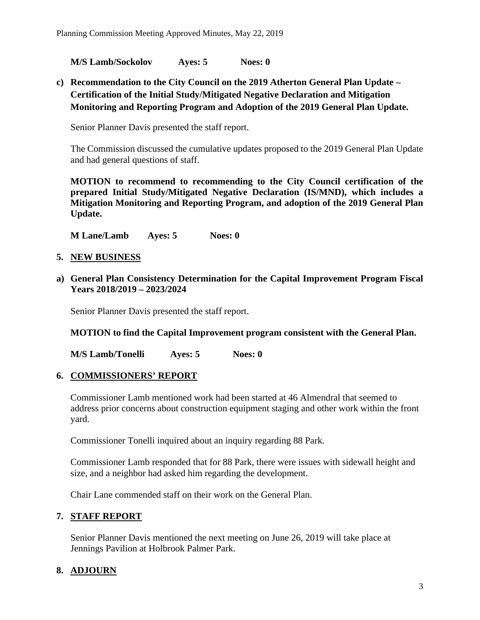**M/S Lamb/Sockolov Ayes: 5 Noes: 0** 

**c) Recommendation to the City Council on the 2019 Atherton General Plan Update – Certification of the Initial Study/Mitigated Negative Declaration and Mitigation Monitoring and Reporting Program and Adoption of the 2019 General Plan Update.** 

Senior Planner Davis presented the staff report.

The Commission discussed the cumulative updates proposed to the 2019 General Plan Update and had general questions of staff.

**MOTION to recommend to recommending to the City Council certification of the prepared Initial Study/Mitigated Negative Declaration (IS/MND), which includes a Mitigation Monitoring and Reporting Program, and adoption of the 2019 General Plan Update.** 

**M Lane/Lamb Ayes: 5 Noes: 0** 

- **5. NEW BUSINESS**
- **a) General Plan Consistency Determination for the Capital Improvement Program Fiscal Years 2018/2019 – 2023/2024**

Senior Planner Davis presented the staff report.

**MOTION to find the Capital Improvement program consistent with the General Plan.** 

**M/S Lamb/Tonelli Ayes: 5 Noes: 0** 

## **6. COMMISSIONERS' REPORT**

Commissioner Lamb mentioned work had been started at 46 Almendral that seemed to address prior concerns about construction equipment staging and other work within the front yard.

Commissioner Tonelli inquired about an inquiry regarding 88 Park.

Commissioner Lamb responded that for 88 Park, there were issues with sidewall height and size, and a neighbor had asked him regarding the development.

Chair Lane commended staff on their work on the General Plan.

# **7. STAFF REPORT**

Senior Planner Davis mentioned the next meeting on June 26, 2019 will take place at Jennings Pavilion at Holbrook Palmer Park.

# **8. ADJOURN**